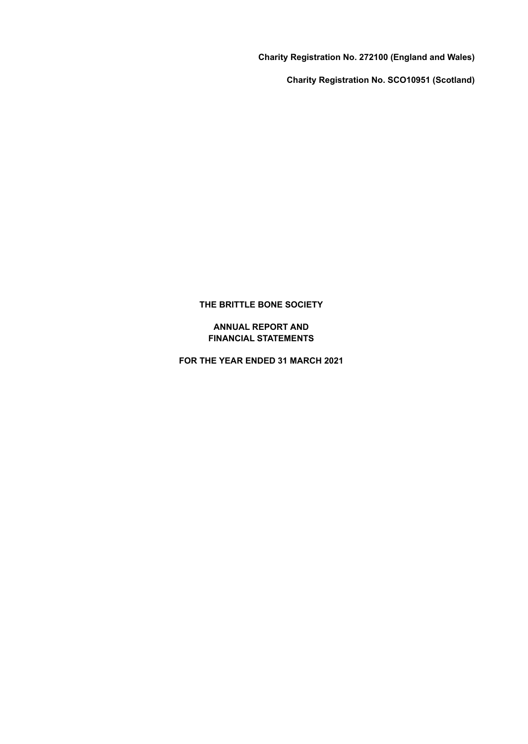**Charity Registration No. 272100 (England and Wales)**

**Charity Registration No. SCO10951 (Scotland)**

#### **THE BRITTLE BONE SOCIETY**

#### **ANNUAL REPORT AND FINANCIAL STATEMENTS**

**FOR THE YEAR ENDED 31 MARCH 2021**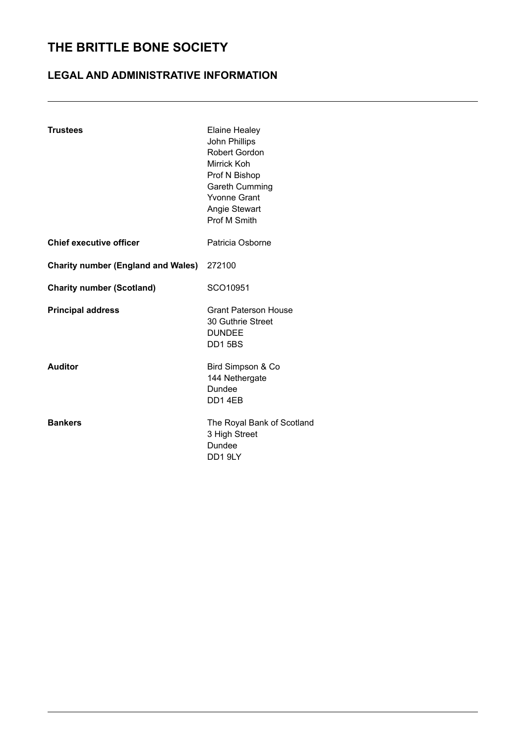### **LEGAL AND ADMINISTRATIVE INFORMATION**

| <b>Trustees</b>                                  | <b>Elaine Healey</b><br>John Phillips<br><b>Robert Gordon</b><br>Mirrick Koh<br>Prof N Bishop<br><b>Gareth Cumming</b><br><b>Yvonne Grant</b><br><b>Angie Stewart</b><br><b>Prof M Smith</b> |
|--------------------------------------------------|----------------------------------------------------------------------------------------------------------------------------------------------------------------------------------------------|
| <b>Chief executive officer</b>                   | Patricia Osborne                                                                                                                                                                             |
| <b>Charity number (England and Wales)</b> 272100 |                                                                                                                                                                                              |
| <b>Charity number (Scotland)</b>                 | SCO10951                                                                                                                                                                                     |
| <b>Principal address</b>                         | <b>Grant Paterson House</b><br>30 Guthrie Street<br><b>DUNDEE</b><br><b>DD15BS</b>                                                                                                           |
| Auditor                                          | Bird Simpson & Co<br>144 Nethergate<br><b>Dundee</b><br>DD14EB                                                                                                                               |
| <b>Bankers</b>                                   | The Royal Bank of Scotland<br>3 High Street<br>Dundee<br>DD19LY                                                                                                                              |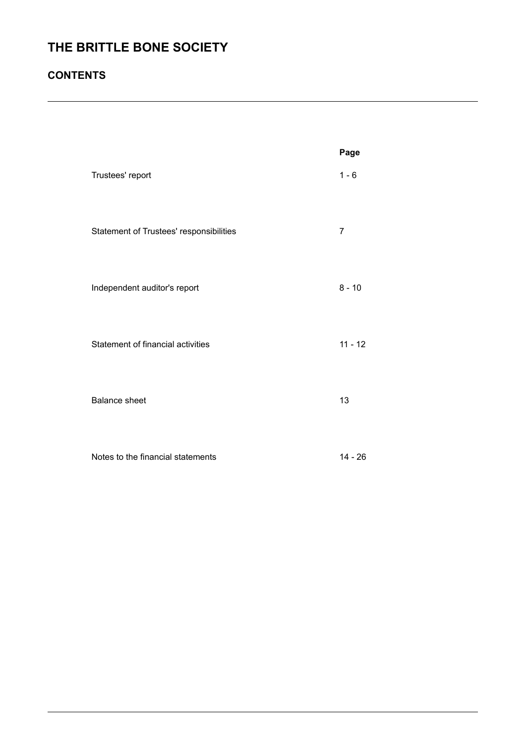### **CONTENTS**

|                                         | Page           |
|-----------------------------------------|----------------|
| Trustees' report                        | $1 - 6$        |
| Statement of Trustees' responsibilities | $\overline{7}$ |
| Independent auditor's report            | $8 - 10$       |
| Statement of financial activities       | $11 - 12$      |
| <b>Balance sheet</b>                    | 13             |
| Notes to the financial statements       | 14 - 26        |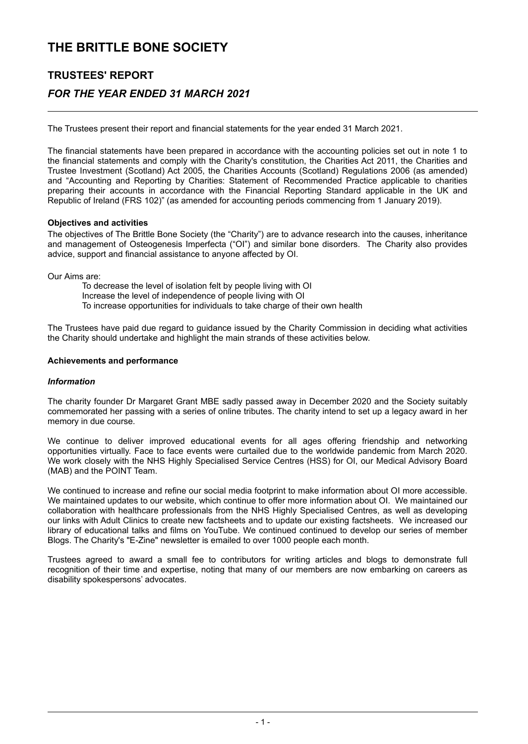## **TRUSTEES' REPORT**

### *FOR THE YEAR ENDED 31 MARCH 2021*

The Trustees present their report and financial statements for the year ended 31 March 2021.

The financial statements have been prepared in accordance with the accounting policies set out in note 1 to the financial statements and comply with the Charity's constitution, the Charities Act 2011, the Charities and Trustee Investment (Scotland) Act 2005, the Charities Accounts (Scotland) Regulations 2006 (as amended) and "Accounting and Reporting by Charities: Statement of Recommended Practice applicable to charities preparing their accounts in accordance with the Financial Reporting Standard applicable in the UK and Republic of Ireland (FRS 102)" (as amended for accounting periods commencing from 1 January 2019).

#### **Objectives and activities**

The objectives of The Brittle Bone Society (the "Charity") are to advance research into the causes, inheritance and management of Osteogenesis Imperfecta ("OI") and similar bone disorders. The Charity also provides advice, support and financial assistance to anyone affected by OI.

Our Aims are:

To decrease the level of isolation felt by people living with OI Increase the level of independence of people living with OI To increase opportunities for individuals to take charge of their own health

The Trustees have paid due regard to guidance issued by the Charity Commission in deciding what activities the Charity should undertake and highlight the main strands of these activities below.

#### **Achievements and performance**

#### *Information*

The charity founder Dr Margaret Grant MBE sadly passed away in December 2020 and the Society suitably commemorated her passing with a series of online tributes. The charity intend to set up a legacy award in her memory in due course.

We continue to deliver improved educational events for all ages offering friendship and networking opportunities virtually. Face to face events were curtailed due to the worldwide pandemic from March 2020. We work closely with the NHS Highly Specialised Service Centres (HSS) for OI, our Medical Advisory Board (MAB) and the POINT Team.

We continued to increase and refine our social media footprint to make information about OI more accessible. We maintained updates to our website, which continue to offer more information about OI. We maintained our collaboration with healthcare professionals from the NHS Highly Specialised Centres, as well as developing our links with Adult Clinics to create new factsheets and to update our existing factsheets. We increased our library of educational talks and films on YouTube. We continued continued to develop our series of member Blogs. The Charity's "E-Zine" newsletter is emailed to over 1000 people each month.

Trustees agreed to award a small fee to contributors for writing articles and blogs to demonstrate full recognition of their time and expertise, noting that many of our members are now embarking on careers as disability spokespersons' advocates.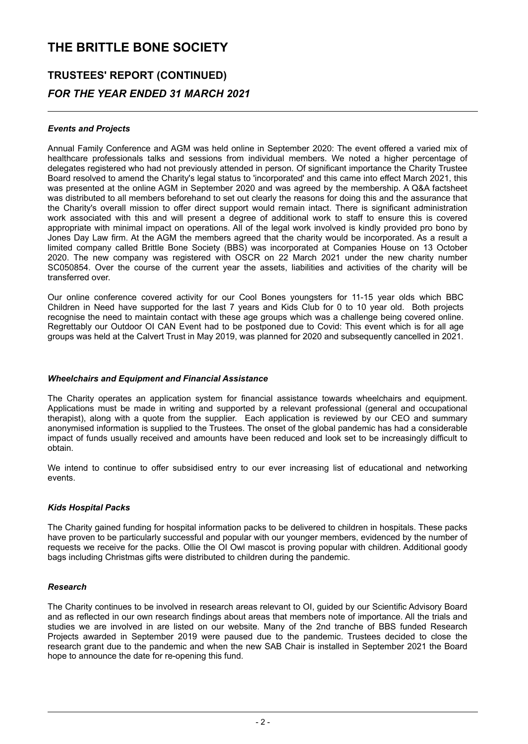## **TRUSTEES' REPORT (CONTINUED)** *FOR THE YEAR ENDED 31 MARCH 2021*

#### *Events and Projects*

Annual Family Conference and AGM was held online in September 2020: The event offered a varied mix of healthcare professionals talks and sessions from individual members. We noted a higher percentage of delegates registered who had not previously attended in person. Of significant importance the Charity Trustee Board resolved to amend the Charity's legal status to 'incorporated' and this came into effect March 2021, this was presented at the online AGM in September 2020 and was agreed by the membership. A Q&A factsheet was distributed to all members beforehand to set out clearly the reasons for doing this and the assurance that the Charity's overall mission to offer direct support would remain intact. There is significant administration work associated with this and will present a degree of additional work to staff to ensure this is covered appropriate with minimal impact on operations. All of the legal work involved is kindly provided pro bono by Jones Day Law firm. At the AGM the members agreed that the charity would be incorporated. As a result a limited company called Brittle Bone Society (BBS) was incorporated at Companies House on 13 October 2020. The new company was registered with OSCR on 22 March 2021 under the new charity number SC050854. Over the course of the current year the assets, liabilities and activities of the charity will be transferred over.

Our online conference covered activity for our Cool Bones youngsters for 11-15 year olds which BBC Children in Need have supported for the last 7 years and Kids Club for 0 to 10 year old. Both projects recognise the need to maintain contact with these age groups which was a challenge being covered online. Regrettably our Outdoor OI CAN Event had to be postponed due to Covid: This event which is for all age groups was held at the Calvert Trust in May 2019, was planned for 2020 and subsequently cancelled in 2021.

#### *Wheelchairs and Equipment and Financial Assistance*

The Charity operates an application system for financial assistance towards wheelchairs and equipment. Applications must be made in writing and supported by a relevant professional (general and occupational therapist), along with a quote from the supplier. Each application is reviewed by our CEO and summary anonymised information is supplied to the Trustees. The onset of the global pandemic has had a considerable impact of funds usually received and amounts have been reduced and look set to be increasingly difficult to obtain.

We intend to continue to offer subsidised entry to our ever increasing list of educational and networking events.

#### *Kids Hospital Packs*

The Charity gained funding for hospital information packs to be delivered to children in hospitals. These packs have proven to be particularly successful and popular with our younger members, evidenced by the number of requests we receive for the packs. Ollie the OI Owl mascot is proving popular with children. Additional goody bags including Christmas gifts were distributed to children during the pandemic.

#### *Research*

The Charity continues to be involved in research areas relevant to OI, guided by our Scientific Advisory Board and as reflected in our own research findings about areas that members note of importance. All the trials and studies we are involved in are listed on our website. Many of the 2nd tranche of BBS funded Research Projects awarded in September 2019 were paused due to the pandemic. Trustees decided to close the research grant due to the pandemic and when the new SAB Chair is installed in September 2021 the Board hope to announce the date for re-opening this fund.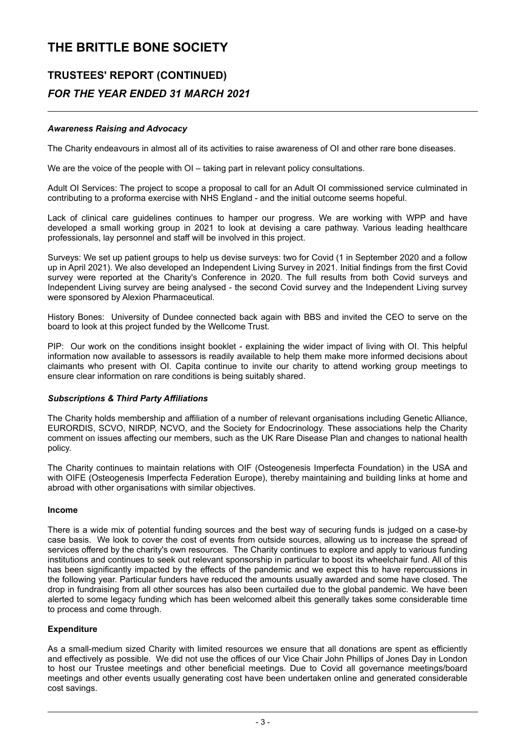## **TRUSTEES' REPORT (CONTINUED)** *FOR THE YEAR ENDED 31 MARCH 2021*

#### *Awareness Raising and Advocacy*

The Charity endeavours in almost all of its activities to raise awareness of OI and other rare bone diseases.

We are the voice of the people with OI – taking part in relevant policy consultations.

Adult OI Services: The project to scope a proposal to call for an Adult OI commissioned service culminated in contributing to a proforma exercise with NHS England - and the initial outcome seems hopeful.

Lack of clinical care guidelines continues to hamper our progress. We are working with WPP and have developed a small working group in 2021 to look at devising a care pathway. Various leading healthcare professionals, lay personnel and staff will be involved in this project.

Surveys: We set up patient groups to help us devise surveys: two for Covid (1 in September 2020 and a follow up in April 2021). We also developed an Independent Living Survey in 2021. Initial findings from the first Covid survey were reported at the Charity's Conference in 2020. The full results from both Covid surveys and Independent Living survey are being analysed - the second Covid survey and the Independent Living survey were sponsored by Alexion Pharmaceutical.

History Bones: University of Dundee connected back again with BBS and invited the CEO to serve on the board to look at this project funded by the Wellcome Trust.

PIP: Our work on the conditions insight booklet - explaining the wider impact of living with OI. This helpful information now available to assessors is readily available to help them make more informed decisions about claimants who present with OI. Capita continue to invite our charity to attend working group meetings to ensure clear information on rare conditions is being suitably shared.

#### *Subscriptions & Third Party Affiliations*

The Charity holds membership and affiliation of a number of relevant organisations including Genetic Alliance, EURORDIS, SCVO, NIRDP, NCVO, and the Society for Endocrinology. These associations help the Charity comment on issues affecting our members, such as the UK Rare Disease Plan and changes to national health policy.

The Charity continues to maintain relations with OIF (Osteogenesis Imperfecta Foundation) in the USA and with OIFE (Osteogenesis Imperfecta Federation Europe), thereby maintaining and building links at home and abroad with other organisations with similar objectives.

#### **Income**

There is a wide mix of potential funding sources and the best way of securing funds is judged on a case-by case basis. We look to cover the cost of events from outside sources, allowing us to increase the spread of services offered by the charity's own resources. The Charity continues to explore and apply to various funding institutions and continues to seek out relevant sponsorship in particular to boost its wheelchair fund. All of this has been significantly impacted by the effects of the pandemic and we expect this to have repercussions in the following year. Particular funders have reduced the amounts usually awarded and some have closed. The drop in fundraising from all other sources has also been curtailed due to the global pandemic. We have been alerted to some legacy funding which has been welcomed albeit this generally takes some considerable time to process and come through.

#### **Expenditure**

As a small-medium sized Charity with limited resources we ensure that all donations are spent as efficiently and effectively as possible. We did not use the offices of our Vice Chair John Phillips of Jones Day in London to host our Trustee meetings and other beneficial meetings. Due to Covid all governance meetings/board meetings and other events usually generating cost have been undertaken online and generated considerable cost savings.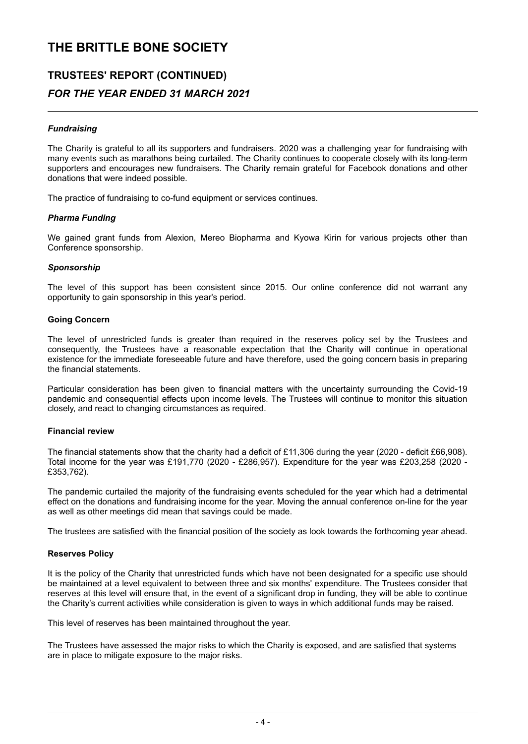### **TRUSTEES' REPORT (CONTINUED)** *FOR THE YEAR ENDED 31 MARCH 2021*

#### *Fundraising*

The Charity is grateful to all its supporters and fundraisers. 2020 was a challenging year for fundraising with many events such as marathons being curtailed. The Charity continues to cooperate closely with its long-term supporters and encourages new fundraisers. The Charity remain grateful for Facebook donations and other donations that were indeed possible.

The practice of fundraising to co-fund equipment or services continues.

#### *Pharma Funding*

We gained grant funds from Alexion, Mereo Biopharma and Kyowa Kirin for various projects other than Conference sponsorship.

#### *Sponsorship*

The level of this support has been consistent since 2015. Our online conference did not warrant any opportunity to gain sponsorship in this year's period.

#### **Going Concern**

The level of unrestricted funds is greater than required in the reserves policy set by the Trustees and consequently, the Trustees have a reasonable expectation that the Charity will continue in operational existence for the immediate foreseeable future and have therefore, used the going concern basis in preparing the financial statements.

Particular consideration has been given to financial matters with the uncertainty surrounding the Covid-19 pandemic and consequential effects upon income levels. The Trustees will continue to monitor this situation closely, and react to changing circumstances as required.

#### **Financial review**

The financial statements show that the charity had a deficit of £11,306 during the year (2020 - deficit £66,908). Total income for the year was £191,770 (2020 - £286,957). Expenditure for the year was £203,258 (2020 - £353,762).

The pandemic curtailed the majority of the fundraising events scheduled for the year which had a detrimental effect on the donations and fundraising income for the year. Moving the annual conference on-line for the year as well as other meetings did mean that savings could be made.

The trustees are satisfied with the financial position of the society as look towards the forthcoming year ahead.

#### **Reserves Policy**

It is the policy of the Charity that unrestricted funds which have not been designated for a specific use should be maintained at a level equivalent to between three and six months' expenditure. The Trustees consider that reserves at this level will ensure that, in the event of a significant drop in funding, they will be able to continue the Charity's current activities while consideration is given to ways in which additional funds may be raised.

This level of reserves has been maintained throughout the year.

The Trustees have assessed the major risks to which the Charity is exposed, and are satisfied that systems are in place to mitigate exposure to the major risks.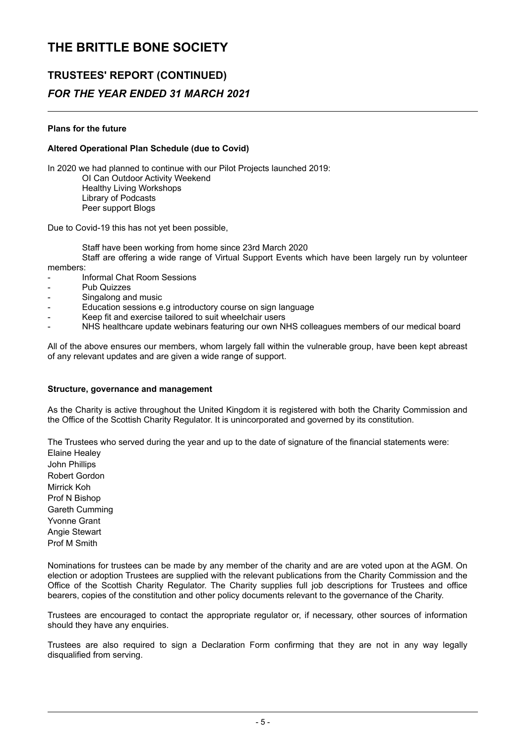# **TRUSTEES' REPORT (CONTINUED)**

## *FOR THE YEAR ENDED 31 MARCH 2021*

#### **Plans for the future**

#### **Altered Operational Plan Schedule (due to Covid)**

In 2020 we had planned to continue with our Pilot Projects launched 2019: OI Can Outdoor Activity Weekend Healthy Living Workshops Library of Podcasts Peer support Blogs

Due to Covid-19 this has not yet been possible,

Staff have been working from home since 23rd March 2020

Staff are offering a wide range of Virtual Support Events which have been largely run by volunteer

members:

- Informal Chat Room Sessions
- Pub Quizzes
- Singalong and music
- Education sessions e.g introductory course on sign language
- Keep fit and exercise tailored to suit wheelchair users
- NHS healthcare update webinars featuring our own NHS colleagues members of our medical board

All of the above ensures our members, whom largely fall within the vulnerable group, have been kept abreast of any relevant updates and are given a wide range of support.

#### **Structure, governance and management**

As the Charity is active throughout the United Kingdom it is registered with both the Charity Commission and the Office of the Scottish Charity Regulator. It is unincorporated and governed by its constitution.

The Trustees who served during the year and up to the date of signature of the financial statements were:

Elaine Healey John Phillips Robert Gordon Mirrick Koh Prof N Bishop Gareth Cumming Yvonne Grant Angie Stewart Prof M Smith

Nominations for trustees can be made by any member of the charity and are are voted upon at the AGM. On election or adoption Trustees are supplied with the relevant publications from the Charity Commission and the Office of the Scottish Charity Regulator. The Charity supplies full job descriptions for Trustees and office bearers, copies of the constitution and other policy documents relevant to the governance of the Charity.

Trustees are encouraged to contact the appropriate regulator or, if necessary, other sources of information should they have any enquiries.

Trustees are also required to sign a Declaration Form confirming that they are not in any way legally disqualified from serving.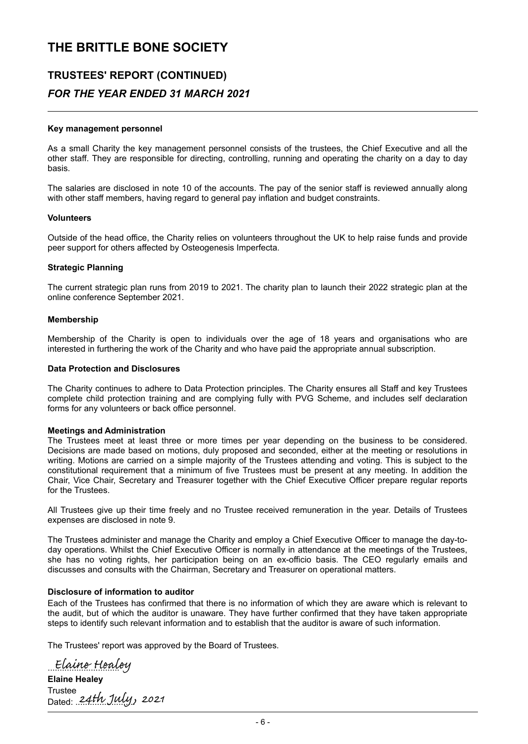### **TRUSTEES' REPORT (CONTINUED)**  *FOR THE YEAR ENDED 31 MARCH 2021*

#### **Key management personnel**

As a small Charity the key management personnel consists of the trustees, the Chief Executive and all the other staff. They are responsible for directing, controlling, running and operating the charity on a day to day basis.

The salaries are disclosed in note 10 of the accounts. The pay of the senior staff is reviewed annually along with other staff members, having regard to general pay inflation and budget constraints.

#### **Volunteers**

Outside of the head office, the Charity relies on volunteers throughout the UK to help raise funds and provide peer support for others affected by Osteogenesis Imperfecta.

#### **Strategic Planning**

The current strategic plan runs from 2019 to 2021. The charity plan to launch their 2022 strategic plan at the online conference September 2021.

#### **Membership**

Membership of the Charity is open to individuals over the age of 18 years and organisations who are interested in furthering the work of the Charity and who have paid the appropriate annual subscription.

#### **Data Protection and Disclosures**

The Charity continues to adhere to Data Protection principles. The Charity ensures all Staff and key Trustees complete child protection training and are complying fully with PVG Scheme, and includes self declaration forms for any volunteers or back office personnel.

#### **Meetings and Administration**

The Trustees meet at least three or more times per year depending on the business to be considered. Decisions are made based on motions, duly proposed and seconded, either at the meeting or resolutions in writing. Motions are carried on a simple majority of the Trustees attending and voting. This is subject to the constitutional requirement that a minimum of five Trustees must be present at any meeting. In addition the Chair, Vice Chair, Secretary and Treasurer together with the Chief Executive Officer prepare regular reports for the Trustees.

All Trustees give up their time freely and no Trustee received remuneration in the year. Details of Trustees expenses are disclosed in note 9.

The Trustees administer and manage the Charity and employ a Chief Executive Officer to manage the day-today operations. Whilst the Chief Executive Officer is normally in attendance at the meetings of the Trustees, she has no voting rights, her participation being on an ex-officio basis. The CEO regularly emails and discusses and consults with the Chairman, Secretary and Treasurer on operational matters.

#### **Disclosure of information to auditor**

Each of the Trustees has confirmed that there is no information of which they are aware which is relevant to the audit, but of which the auditor is unaware. They have further confirmed that they have taken appropriate steps to identify such relevant information and to establish that the auditor is aware of such information.

The Trustees' report was approved by the Board of Trustees.

Euune Fienn

**Elaine Healey**  Trustee Dated: 24TW JWY,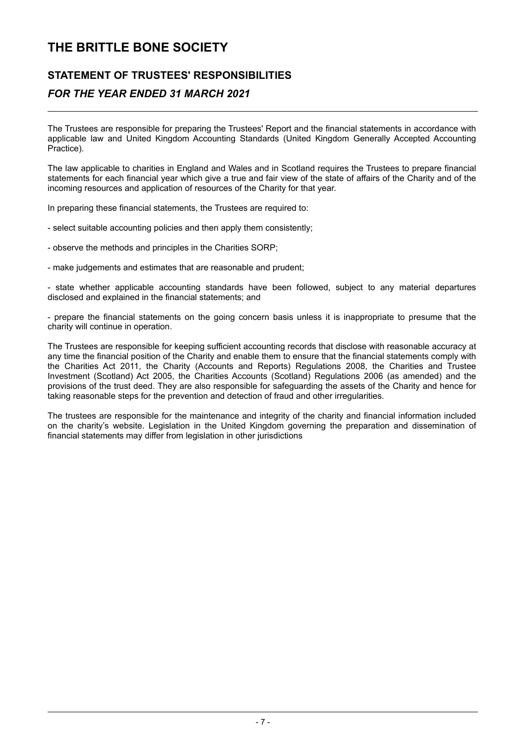### **STATEMENT OF TRUSTEES' RESPONSIBILITIES**

### *FOR THE YEAR ENDED 31 MARCH 2021*

The Trustees are responsible for preparing the Trustees' Report and the financial statements in accordance with applicable law and United Kingdom Accounting Standards (United Kingdom Generally Accepted Accounting Practice).

The law applicable to charities in England and Wales and in Scotland requires the Trustees to prepare financial statements for each financial year which give a true and fair view of the state of affairs of the Charity and of the incoming resources and application of resources of the Charity for that year.

In preparing these financial statements, the Trustees are required to:

- select suitable accounting policies and then apply them consistently;

- observe the methods and principles in the Charities SORP;

- make judgements and estimates that are reasonable and prudent;

- state whether applicable accounting standards have been followed, subject to any material departures disclosed and explained in the financial statements; and

- prepare the financial statements on the going concern basis unless it is inappropriate to presume that the charity will continue in operation.

The Trustees are responsible for keeping sufficient accounting records that disclose with reasonable accuracy at any time the financial position of the Charity and enable them to ensure that the financial statements comply with the Charities Act 2011, the Charity (Accounts and Reports) Regulations 2008, the Charities and Trustee Investment (Scotland) Act 2005, the Charities Accounts (Scotland) Regulations 2006 (as amended) and the provisions of the trust deed. They are also responsible for safeguarding the assets of the Charity and hence for taking reasonable steps for the prevention and detection of fraud and other irregularities.

The trustees are responsible for the maintenance and integrity of the charity and financial information included on the charity's website. Legislation in the United Kingdom governing the preparation and dissemination of financial statements may differ from legislation in other jurisdictions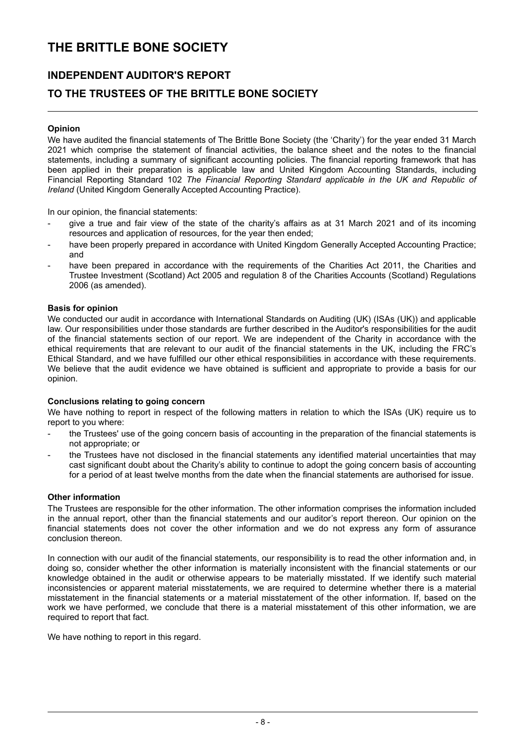### **INDEPENDENT AUDITOR'S REPORT**

### **TO THE TRUSTEES OF THE BRITTLE BONE SOCIETY**

#### **Opinion**

We have audited the financial statements of The Brittle Bone Society (the 'Charity') for the year ended 31 March 2021 which comprise the statement of financial activities, the balance sheet and the notes to the financial statements, including a summary of significant accounting policies. The financial reporting framework that has been applied in their preparation is applicable law and United Kingdom Accounting Standards, including Financial Reporting Standard 102 *The Financial Reporting Standard applicable in the UK and Republic of Ireland* (United Kingdom Generally Accepted Accounting Practice).

In our opinion, the financial statements:

- give a true and fair view of the state of the charity's affairs as at 31 March 2021 and of its incoming resources and application of resources, for the year then ended;
- have been properly prepared in accordance with United Kingdom Generally Accepted Accounting Practice; and
- have been prepared in accordance with the requirements of the Charities Act 2011, the Charities and Trustee Investment (Scotland) Act 2005 and regulation 8 of the Charities Accounts (Scotland) Regulations 2006 (as amended).

#### **Basis for opinion**

We conducted our audit in accordance with International Standards on Auditing (UK) (ISAs (UK)) and applicable law. Our responsibilities under those standards are further described in the Auditor's responsibilities for the audit of the financial statements section of our report. We are independent of the Charity in accordance with the ethical requirements that are relevant to our audit of the financial statements in the UK, including the FRC's Ethical Standard, and we have fulfilled our other ethical responsibilities in accordance with these requirements. We believe that the audit evidence we have obtained is sufficient and appropriate to provide a basis for our opinion.

#### **Conclusions relating to going concern**

We have nothing to report in respect of the following matters in relation to which the ISAs (UK) require us to report to you where:

- the Trustees' use of the going concern basis of accounting in the preparation of the financial statements is not appropriate; or
- the Trustees have not disclosed in the financial statements any identified material uncertainties that may cast significant doubt about the Charity's ability to continue to adopt the going concern basis of accounting for a period of at least twelve months from the date when the financial statements are authorised for issue.

#### **Other information**

The Trustees are responsible for the other information. The other information comprises the information included in the annual report, other than the financial statements and our auditor's report thereon. Our opinion on the financial statements does not cover the other information and we do not express any form of assurance conclusion thereon.

In connection with our audit of the financial statements, our responsibility is to read the other information and, in doing so, consider whether the other information is materially inconsistent with the financial statements or our knowledge obtained in the audit or otherwise appears to be materially misstated. If we identify such material inconsistencies or apparent material misstatements, we are required to determine whether there is a material misstatement in the financial statements or a material misstatement of the other information. If, based on the work we have performed, we conclude that there is a material misstatement of this other information, we are required to report that fact.

We have nothing to report in this regard.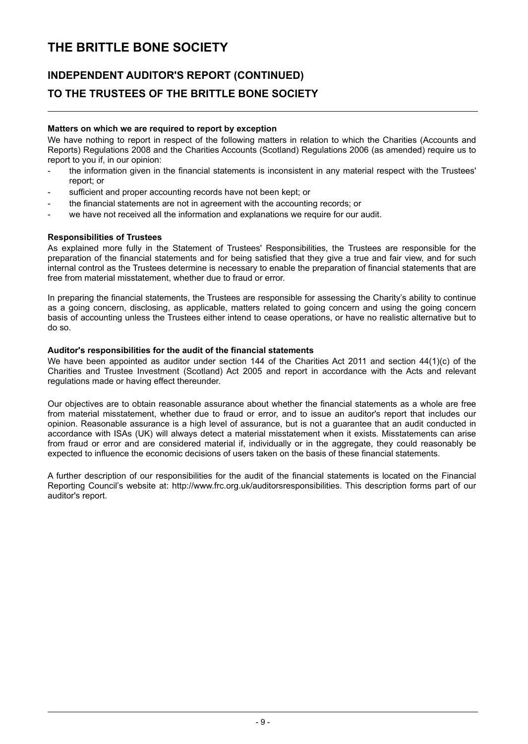## **INDEPENDENT AUDITOR'S REPORT (CONTINUED) TO THE TRUSTEES OF THE BRITTLE BONE SOCIETY**

#### **Matters on which we are required to report by exception**

We have nothing to report in respect of the following matters in relation to which the Charities (Accounts and Reports) Regulations 2008 and the Charities Accounts (Scotland) Regulations 2006 (as amended) require us to report to you if, in our opinion:

- the information given in the financial statements is inconsistent in any material respect with the Trustees' report; or
- sufficient and proper accounting records have not been kept; or
- the financial statements are not in agreement with the accounting records; or
- we have not received all the information and explanations we require for our audit.

#### **Responsibilities of Trustees**

As explained more fully in the Statement of Trustees' Responsibilities, the Trustees are responsible for the preparation of the financial statements and for being satisfied that they give a true and fair view, and for such internal control as the Trustees determine is necessary to enable the preparation of financial statements that are free from material misstatement, whether due to fraud or error.

In preparing the financial statements, the Trustees are responsible for assessing the Charity's ability to continue as a going concern, disclosing, as applicable, matters related to going concern and using the going concern basis of accounting unless the Trustees either intend to cease operations, or have no realistic alternative but to do so.

#### **Auditor's responsibilities for the audit of the financial statements**

We have been appointed as auditor under section 144 of the Charities Act 2011 and section 44(1)(c) of the Charities and Trustee Investment (Scotland) Act 2005 and report in accordance with the Acts and relevant regulations made or having effect thereunder.

Our objectives are to obtain reasonable assurance about whether the financial statements as a whole are free from material misstatement, whether due to fraud or error, and to issue an auditor's report that includes our opinion. Reasonable assurance is a high level of assurance, but is not a guarantee that an audit conducted in accordance with ISAs (UK) will always detect a material misstatement when it exists. Misstatements can arise from fraud or error and are considered material if, individually or in the aggregate, they could reasonably be expected to influence the economic decisions of users taken on the basis of these financial statements.

A further description of our responsibilities for the audit of the financial statements is located on the Financial Reporting Council's website at: http://www.frc.org.uk/auditorsresponsibilities. This description forms part of our auditor's report.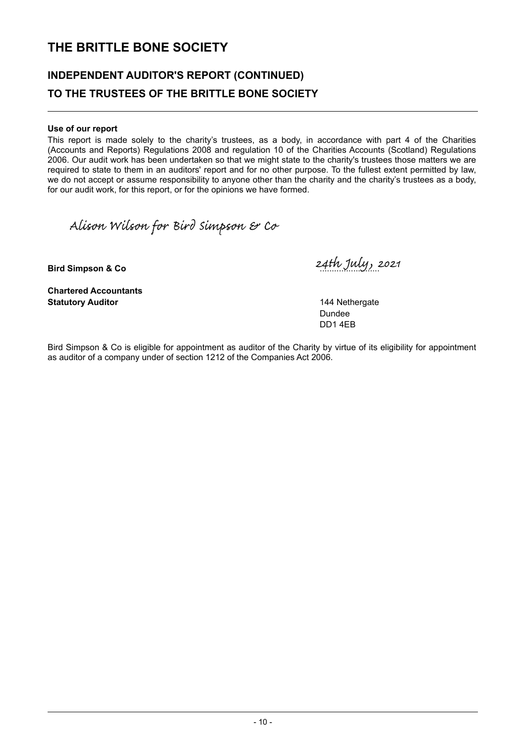## **INDEPENDENT AUDITOR'S REPORT (CONTINUED) TO THE TRUSTEES OF THE BRITTLE BONE SOCIETY**

#### **Use of our report**

This report is made solely to the charity's trustees, as a body, in accordance with part 4 of the Charities (Accounts and Reports) Regulations 2008 and regulation 10 of the Charities Accounts (Scotland) Regulations 2006. Our audit work has been undertaken so that we might state to the charity's trustees those matters we are required to state to them in an auditors' report and for no other purpose. To the fullest extent permitted by law, we do not accept or assume responsibility to anyone other than the charity and the charity's trustees as a body, for our audit work, for this report, or for the opinions we have formed.

Alison Wilson for Bird Simpson & Co

**Chartered Accountants Statutory Auditor** 144 Nethergate

**Bird Simpson & Co** .........................

Dundee DD1 4EB

Bird Simpson & Co is eligible for appointment as auditor of the Charity by virtue of its eligibility for appointment as auditor of a company under of section 1212 of the Companies Act 2006.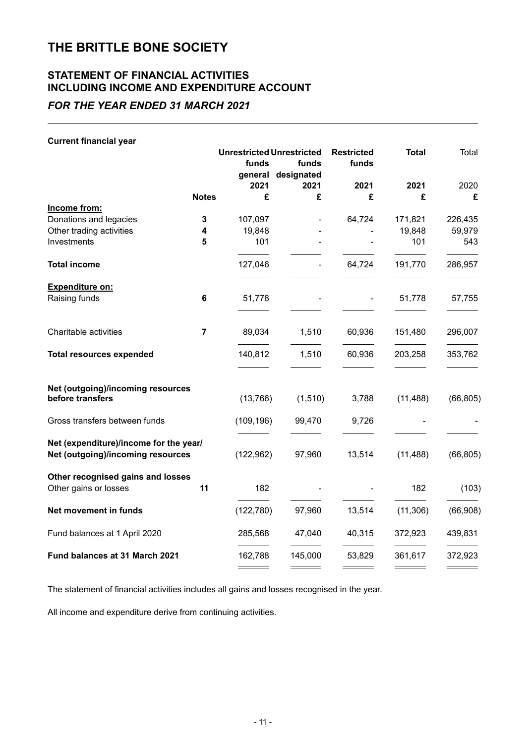## **STATEMENT OF FINANCIAL ACTIVITIES INCLUDING INCOME AND EXPENDITURE ACCOUNT**

*FOR THE YEAR ENDED 31 MARCH 2021*

| <b>Current financial year</b>                                               |                |                                  |                    |                   |              |           |
|-----------------------------------------------------------------------------|----------------|----------------------------------|--------------------|-------------------|--------------|-----------|
|                                                                             |                | <b>Unrestricted Unrestricted</b> |                    | <b>Restricted</b> | <b>Total</b> | Total     |
|                                                                             |                | funds                            | funds              | funds             |              |           |
|                                                                             |                |                                  | general designated |                   |              |           |
|                                                                             |                | 2021                             | 2021               | 2021              | 2021         | 2020      |
|                                                                             | <b>Notes</b>   | £                                | £                  | £                 | £            | £         |
| Income from:                                                                |                |                                  |                    |                   |              |           |
| Donations and legacies                                                      | 3              | 107,097                          |                    | 64,724            | 171,821      | 226,435   |
| Other trading activities                                                    | 4              | 19,848                           |                    |                   | 19,848       | 59,979    |
| Investments                                                                 | 5              | 101                              |                    |                   | 101          | 543       |
| <b>Total income</b>                                                         |                | 127,046                          |                    | 64,724            | 191,770      | 286,957   |
| Expenditure on:                                                             |                |                                  |                    |                   |              |           |
| Raising funds                                                               | 6              | 51,778                           |                    |                   | 51,778       | 57,755    |
| Charitable activities                                                       | $\overline{7}$ | 89,034                           | 1,510              | 60,936            | 151,480      | 296,007   |
| <b>Total resources expended</b>                                             |                | 140,812                          | 1,510              | 60,936            | 203,258      | 353,762   |
| Net (outgoing)/incoming resources<br>before transfers                       |                | (13, 766)                        | (1,510)            | 3,788             | (11, 488)    | (66, 805) |
| Gross transfers between funds                                               |                | (109, 196)                       | 99,470             | 9,726             |              |           |
| Net (expenditure)/income for the year/<br>Net (outgoing)/incoming resources |                | (122, 962)                       | 97,960             | 13,514            | (11, 488)    | (66, 805) |
| Other recognised gains and losses<br>Other gains or losses                  | 11             | 182                              |                    |                   | 182          | (103)     |
| Net movement in funds                                                       |                | (122, 780)                       | 97,960             | 13,514            | (11, 306)    | (66, 908) |
| Fund balances at 1 April 2020                                               |                | 285,568                          | 47,040             | 40,315            | 372,923      | 439,831   |
| Fund balances at 31 March 2021                                              |                | 162,788                          | 145,000            | 53,829            | 361,617      | 372,923   |

The statement of financial activities includes all gains and losses recognised in the year.

All income and expenditure derive from continuing activities.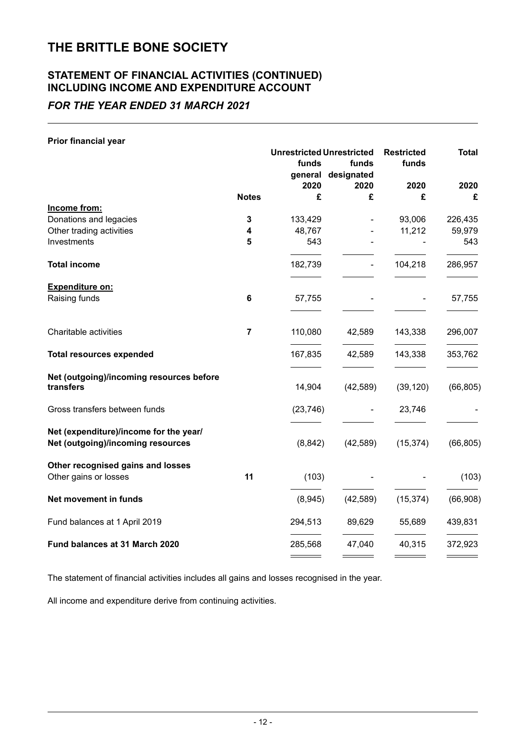### **STATEMENT OF FINANCIAL ACTIVITIES (CONTINUED) INCLUDING INCOME AND EXPENDITURE ACCOUNT**

### *FOR THE YEAR ENDED 31 MARCH 2021*

#### **Prior financial year**

|                                                    |                | <b>Unrestricted Unrestricted</b> |                    | <b>Restricted</b> | <b>Total</b>      |  |
|----------------------------------------------------|----------------|----------------------------------|--------------------|-------------------|-------------------|--|
|                                                    |                | funds                            | funds              | funds             |                   |  |
|                                                    |                |                                  | general designated |                   |                   |  |
|                                                    |                | 2020                             | 2020               | 2020              | 2020              |  |
|                                                    | <b>Notes</b>   | £                                | £                  | £                 | £                 |  |
| Income from:                                       |                |                                  |                    |                   |                   |  |
| Donations and legacies<br>Other trading activities | 3<br>4         | 133,429<br>48,767                |                    | 93,006<br>11,212  | 226,435<br>59,979 |  |
| Investments                                        | 5              | 543                              |                    |                   | 543               |  |
| <b>Total income</b>                                |                | 182,739                          |                    | 104,218           | 286,957           |  |
|                                                    |                |                                  |                    |                   |                   |  |
| <b>Expenditure on:</b><br>Raising funds            | 6              | 57,755                           |                    |                   | 57,755            |  |
|                                                    |                |                                  |                    |                   |                   |  |
| Charitable activities                              | $\overline{7}$ | 110,080                          | 42,589             | 143,338           | 296,007           |  |
| <b>Total resources expended</b>                    |                | 167,835                          | 42,589             | 143,338           | 353,762           |  |
| Net (outgoing)/incoming resources before           |                |                                  |                    |                   |                   |  |
| transfers                                          |                | 14,904                           | (42, 589)          | (39, 120)         | (66, 805)         |  |
| Gross transfers between funds                      |                | (23, 746)                        |                    | 23,746            |                   |  |
| Net (expenditure)/income for the year/             |                |                                  |                    |                   |                   |  |
| Net (outgoing)/incoming resources                  |                | (8, 842)                         | (42, 589)          | (15, 374)         | (66, 805)         |  |
| Other recognised gains and losses                  |                |                                  |                    |                   |                   |  |
| Other gains or losses                              | 11             | (103)                            |                    |                   | (103)             |  |
| Net movement in funds                              |                | (8,945)                          | (42, 589)          | (15, 374)         | (66, 908)         |  |
| Fund balances at 1 April 2019                      |                | 294,513                          | 89,629             | 55,689            | 439,831           |  |
| Fund balances at 31 March 2020                     |                | 285,568                          | 47,040             | 40,315            | 372,923           |  |
|                                                    |                |                                  |                    |                   |                   |  |

The statement of financial activities includes all gains and losses recognised in the year.

All income and expenditure derive from continuing activities.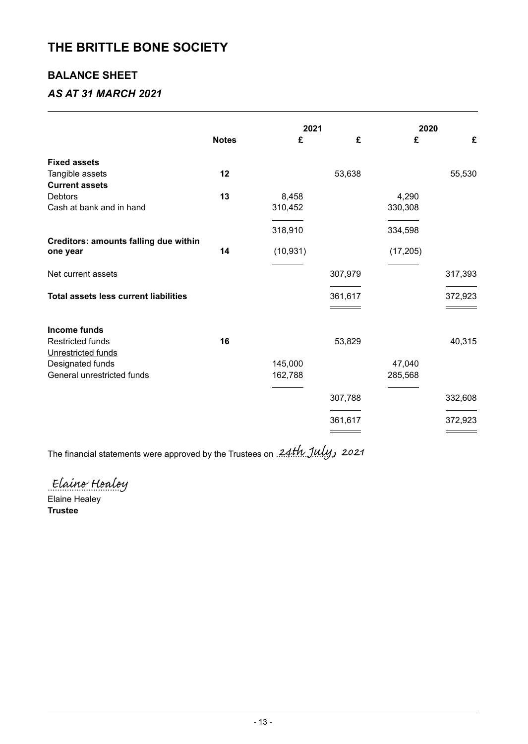### **BALANCE SHEET**

### *AS AT 31 MARCH 2021*

|                                                   |              | 2021               |         | 2020              |         |
|---------------------------------------------------|--------------|--------------------|---------|-------------------|---------|
|                                                   | <b>Notes</b> | £                  | £       | £                 | £       |
| <b>Fixed assets</b>                               |              |                    |         |                   |         |
| Tangible assets<br><b>Current assets</b>          | 12           |                    | 53,638  |                   | 55,530  |
| <b>Debtors</b>                                    | 13           | 8,458              |         | 4,290             |         |
| Cash at bank and in hand                          |              | 310,452            |         | 330,308           |         |
|                                                   |              | 318,910            |         | 334,598           |         |
| Creditors: amounts falling due within<br>one year | 14           | (10, 931)          |         | (17, 205)         |         |
| Net current assets                                |              |                    | 307,979 |                   | 317,393 |
| <b>Total assets less current liabilities</b>      |              |                    | 361,617 |                   | 372,923 |
| <b>Income funds</b>                               |              |                    |         |                   |         |
| <b>Restricted funds</b>                           | 16           |                    | 53,829  |                   | 40,315  |
| Unrestricted funds                                |              |                    |         |                   |         |
| Designated funds<br>General unrestricted funds    |              | 145,000<br>162,788 |         | 47,040<br>285,568 |         |
|                                                   |              |                    |         |                   |         |
|                                                   |              |                    | 307,788 |                   | 332,608 |
|                                                   |              |                    | 361,617 |                   | 372,923 |
|                                                   |              |                    |         |                   |         |

The financial statements were approved by the Trustees on 24th July, 2021

Elaine Healey

Elaine Healey **Trustee**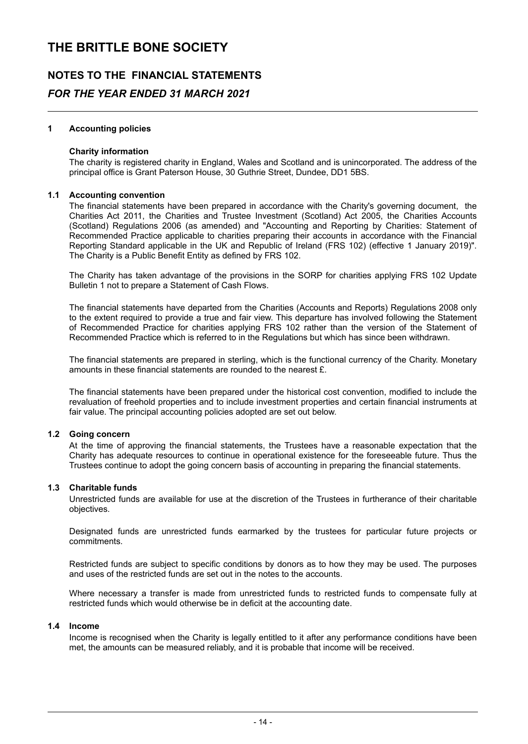## **NOTES TO THE FINANCIAL STATEMENTS** *FOR THE YEAR ENDED 31 MARCH 2021*

#### **1 Accounting policies**

#### **Charity information**

The charity is registered charity in England, Wales and Scotland and is unincorporated. The address of the principal office is Grant Paterson House, 30 Guthrie Street, Dundee, DD1 5BS.

#### **1.1 Accounting convention**

The financial statements have been prepared in accordance with the Charity's governing document, the Charities Act 2011, the Charities and Trustee Investment (Scotland) Act 2005, the Charities Accounts (Scotland) Regulations 2006 (as amended) and "Accounting and Reporting by Charities: Statement of Recommended Practice applicable to charities preparing their accounts in accordance with the Financial Reporting Standard applicable in the UK and Republic of Ireland (FRS 102) (effective 1 January 2019)". The Charity is a Public Benefit Entity as defined by FRS 102.

The Charity has taken advantage of the provisions in the SORP for charities applying FRS 102 Update Bulletin 1 not to prepare a Statement of Cash Flows.

The financial statements have departed from the Charities (Accounts and Reports) Regulations 2008 only to the extent required to provide a true and fair view. This departure has involved following the Statement of Recommended Practice for charities applying FRS 102 rather than the version of the Statement of Recommended Practice which is referred to in the Regulations but which has since been withdrawn.

The financial statements are prepared in sterling, which is the functional currency of the Charity. Monetary amounts in these financial statements are rounded to the nearest £.

The financial statements have been prepared under the historical cost convention, modified to include the revaluation of freehold properties and to include investment properties and certain financial instruments at fair value. The principal accounting policies adopted are set out below.

#### **1.2 Going concern**

At the time of approving the financial statements, the Trustees have a reasonable expectation that the Charity has adequate resources to continue in operational existence for the foreseeable future. Thus the Trustees continue to adopt the going concern basis of accounting in preparing the financial statements.

#### **1.3 Charitable funds**

Unrestricted funds are available for use at the discretion of the Trustees in furtherance of their charitable objectives.

Designated funds are unrestricted funds earmarked by the trustees for particular future projects or commitments.

Restricted funds are subject to specific conditions by donors as to how they may be used. The purposes and uses of the restricted funds are set out in the notes to the accounts.

Where necessary a transfer is made from unrestricted funds to restricted funds to compensate fully at restricted funds which would otherwise be in deficit at the accounting date.

#### **1.4 Income**

Income is recognised when the Charity is legally entitled to it after any performance conditions have been met, the amounts can be measured reliably, and it is probable that income will be received.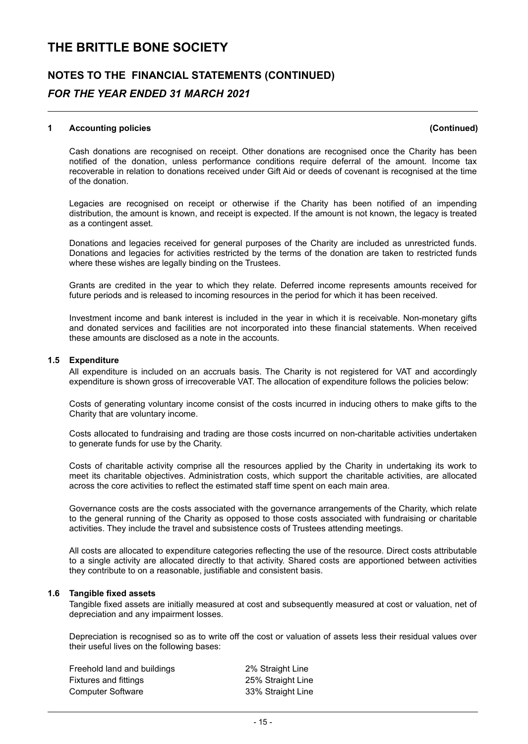## **NOTES TO THE FINANCIAL STATEMENTS (CONTINUED)** *FOR THE YEAR ENDED 31 MARCH 2021*

#### **1 Accounting policies (Continued)**

Cash donations are recognised on receipt. Other donations are recognised once the Charity has been notified of the donation, unless performance conditions require deferral of the amount. Income tax recoverable in relation to donations received under Gift Aid or deeds of covenant is recognised at the time of the donation.

Legacies are recognised on receipt or otherwise if the Charity has been notified of an impending distribution, the amount is known, and receipt is expected. If the amount is not known, the legacy is treated as a contingent asset.

Donations and legacies received for general purposes of the Charity are included as unrestricted funds. Donations and legacies for activities restricted by the terms of the donation are taken to restricted funds where these wishes are legally binding on the Trustees.

Grants are credited in the year to which they relate. Deferred income represents amounts received for future periods and is released to incoming resources in the period for which it has been received.

Investment income and bank interest is included in the year in which it is receivable. Non-monetary gifts and donated services and facilities are not incorporated into these financial statements. When received these amounts are disclosed as a note in the accounts.

#### **1.5 Expenditure**

All expenditure is included on an accruals basis. The Charity is not registered for VAT and accordingly expenditure is shown gross of irrecoverable VAT. The allocation of expenditure follows the policies below:

Costs of generating voluntary income consist of the costs incurred in inducing others to make gifts to the Charity that are voluntary income.

Costs allocated to fundraising and trading are those costs incurred on non-charitable activities undertaken to generate funds for use by the Charity.

Costs of charitable activity comprise all the resources applied by the Charity in undertaking its work to meet its charitable objectives. Administration costs, which support the charitable activities, are allocated across the core activities to reflect the estimated staff time spent on each main area.

Governance costs are the costs associated with the governance arrangements of the Charity, which relate to the general running of the Charity as opposed to those costs associated with fundraising or charitable activities. They include the travel and subsistence costs of Trustees attending meetings.

All costs are allocated to expenditure categories reflecting the use of the resource. Direct costs attributable to a single activity are allocated directly to that activity. Shared costs are apportioned between activities they contribute to on a reasonable, justifiable and consistent basis.

#### **1.6 Tangible fixed assets**

Tangible fixed assets are initially measured at cost and subsequently measured at cost or valuation, net of depreciation and any impairment losses.

Depreciation is recognised so as to write off the cost or valuation of assets less their residual values over their useful lives on the following bases:

| Freehold land and buildings  | 2% Straight Line  |
|------------------------------|-------------------|
| <b>Fixtures and fittings</b> | 25% Straight Line |
| <b>Computer Software</b>     | 33% Straight Line |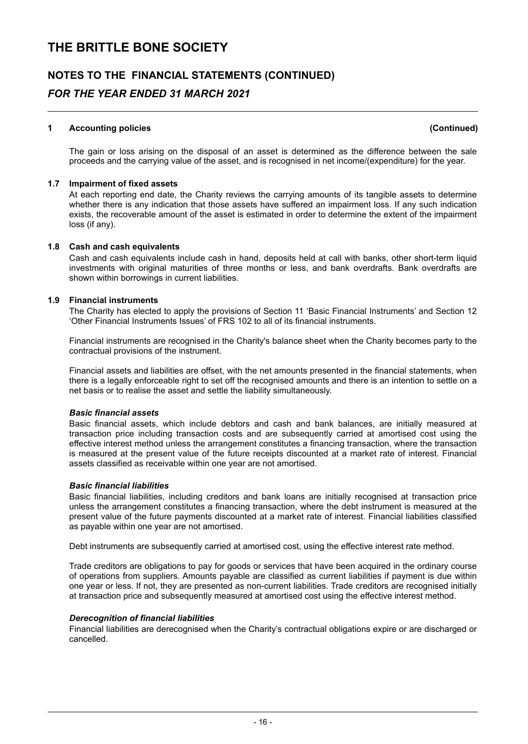### **NOTES TO THE FINANCIAL STATEMENTS (CONTINUED)** *FOR THE YEAR ENDED 31 MARCH 2021*

#### **1 Accounting policies (Continued)**

The gain or loss arising on the disposal of an asset is determined as the difference between the sale proceeds and the carrying value of the asset, and is recognised in net income/(expenditure) for the year.

#### **1.7 Impairment of fixed assets**

At each reporting end date, the Charity reviews the carrying amounts of its tangible assets to determine whether there is any indication that those assets have suffered an impairment loss. If any such indication exists, the recoverable amount of the asset is estimated in order to determine the extent of the impairment loss (if any).

#### **1.8 Cash and cash equivalents**

Cash and cash equivalents include cash in hand, deposits held at call with banks, other short-term liquid investments with original maturities of three months or less, and bank overdrafts. Bank overdrafts are shown within borrowings in current liabilities.

#### **1.9 Financial instruments**

The Charity has elected to apply the provisions of Section 11 'Basic Financial Instruments' and Section 12 'Other Financial Instruments Issues' of FRS 102 to all of its financial instruments.

Financial instruments are recognised in the Charity's balance sheet when the Charity becomes party to the contractual provisions of the instrument.

Financial assets and liabilities are offset, with the net amounts presented in the financial statements, when there is a legally enforceable right to set off the recognised amounts and there is an intention to settle on a net basis or to realise the asset and settle the liability simultaneously.

#### *Basic financial assets*

Basic financial assets, which include debtors and cash and bank balances, are initially measured at transaction price including transaction costs and are subsequently carried at amortised cost using the effective interest method unless the arrangement constitutes a financing transaction, where the transaction is measured at the present value of the future receipts discounted at a market rate of interest. Financial assets classified as receivable within one year are not amortised.

#### *Basic financial liabilities*

Basic financial liabilities, including creditors and bank loans are initially recognised at transaction price unless the arrangement constitutes a financing transaction, where the debt instrument is measured at the present value of the future payments discounted at a market rate of interest. Financial liabilities classified as payable within one year are not amortised.

Debt instruments are subsequently carried at amortised cost, using the effective interest rate method.

Trade creditors are obligations to pay for goods or services that have been acquired in the ordinary course of operations from suppliers. Amounts payable are classified as current liabilities if payment is due within one year or less. If not, they are presented as non-current liabilities. Trade creditors are recognised initially at transaction price and subsequently measured at amortised cost using the effective interest method.

#### *Derecognition of financial liabilities*

Financial liabilities are derecognised when the Charity's contractual obligations expire or are discharged or cancelled.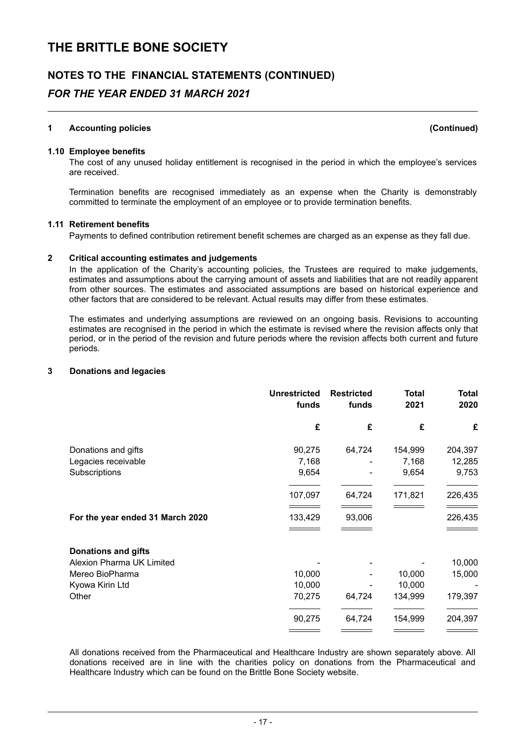### **NOTES TO THE FINANCIAL STATEMENTS (CONTINUED)**

### *FOR THE YEAR ENDED 31 MARCH 2021*

#### **1 Accounting policies (Continued)**

#### **1.10 Employee benefits**

The cost of any unused holiday entitlement is recognised in the period in which the employee's services are received.

Termination benefits are recognised immediately as an expense when the Charity is demonstrably committed to terminate the employment of an employee or to provide termination benefits.

#### **1.11 Retirement benefits**

Payments to defined contribution retirement benefit schemes are charged as an expense as they fall due.

#### **2 Critical accounting estimates and judgements**

In the application of the Charity's accounting policies, the Trustees are required to make judgements, estimates and assumptions about the carrying amount of assets and liabilities that are not readily apparent from other sources. The estimates and associated assumptions are based on historical experience and other factors that are considered to be relevant. Actual results may differ from these estimates.

The estimates and underlying assumptions are reviewed on an ongoing basis. Revisions to accounting estimates are recognised in the period in which the estimate is revised where the revision affects only that period, or in the period of the revision and future periods where the revision affects both current and future periods.

#### **3 Donations and legacies**

|                                  | <b>Unrestricted</b><br>funds | <b>Restricted</b><br>funds | <b>Total</b><br>2021 | <b>Total</b><br>2020 |
|----------------------------------|------------------------------|----------------------------|----------------------|----------------------|
|                                  | £                            | £                          | £                    | £                    |
| Donations and gifts              | 90,275                       | 64,724                     | 154,999              | 204,397              |
| Legacies receivable              | 7,168                        |                            | 7,168                | 12,285               |
| Subscriptions                    | 9,654                        |                            | 9,654                | 9,753                |
|                                  | 107,097                      | 64,724                     | 171,821              | 226,435              |
| For the year ended 31 March 2020 | 133,429                      | 93,006                     |                      | 226,435              |
| <b>Donations and gifts</b>       |                              |                            |                      |                      |
| <b>Alexion Pharma UK Limited</b> |                              |                            |                      | 10,000               |
| Mereo BioPharma                  | 10,000                       |                            | 10,000               | 15,000               |
| Kyowa Kirin Ltd                  | 10,000                       |                            | 10,000               |                      |
| Other                            | 70,275                       | 64,724                     | 134,999              | 179,397              |
|                                  | 90,275                       | 64,724                     | 154,999              | 204,397              |
|                                  |                              |                            |                      |                      |

All donations received from the Pharmaceutical and Healthcare Industry are shown separately above. All donations received are in line with the charities policy on donations from the Pharmaceutical and Healthcare Industry which can be found on the Brittle Bone Society website.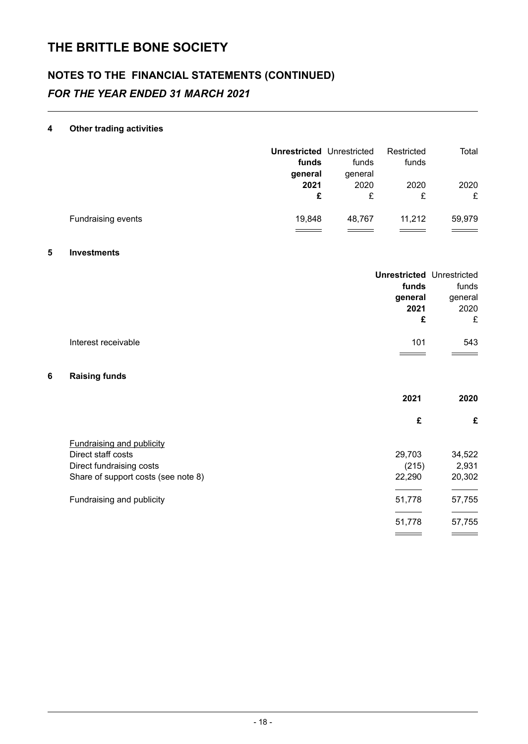## **NOTES TO THE FINANCIAL STATEMENTS (CONTINUED)** *FOR THE YEAR ENDED 31 MARCH 2021*

#### **4 Other trading activities**

|                    | <b>Unrestricted Unrestricted</b><br>funds | funds                | Restricted<br>funds | Total     |
|--------------------|-------------------------------------------|----------------------|---------------------|-----------|
|                    | general<br>2021<br>£                      | general<br>2020<br>£ | 2020<br>£           | 2020<br>£ |
| Fundraising events | 19,848                                    | 48,767               | 11,212              | 59,979    |

#### **5 Investments**

|                     | <b>Unrestricted Unrestricted</b><br>funds | funds   |
|---------------------|-------------------------------------------|---------|
|                     | general                                   | general |
|                     | 2021                                      | 2020    |
|                     | £                                         | £       |
| Interest receivable | 101                                       | 543     |
|                     |                                           |         |
| Paieing funde       |                                           |         |

#### **6 Raising funds**

|                                     | 2021   | 2020   |
|-------------------------------------|--------|--------|
|                                     | £      | £      |
| <b>Fundraising and publicity</b>    |        |        |
| Direct staff costs                  | 29,703 | 34,522 |
| Direct fundraising costs            | (215)  | 2,931  |
| Share of support costs (see note 8) | 22,290 | 20,302 |
| Fundraising and publicity           | 51,778 | 57,755 |
|                                     |        |        |
|                                     | 51,778 | 57,755 |
|                                     |        |        |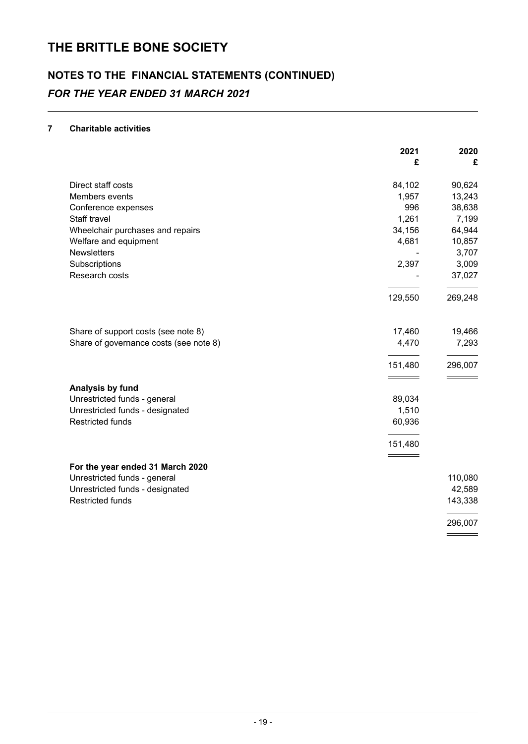## **NOTES TO THE FINANCIAL STATEMENTS (CONTINUED)** *FOR THE YEAR ENDED 31 MARCH 2021*

#### **7 Charitable activities**

|                                        | 2021    | 2020    |
|----------------------------------------|---------|---------|
|                                        | £       | £       |
| Direct staff costs                     | 84,102  | 90,624  |
| Members events                         | 1,957   | 13,243  |
| Conference expenses                    | 996     | 38,638  |
| Staff travel                           | 1,261   | 7,199   |
| Wheelchair purchases and repairs       | 34,156  | 64,944  |
| Welfare and equipment                  | 4,681   | 10,857  |
| <b>Newsletters</b>                     |         | 3,707   |
| Subscriptions                          | 2,397   | 3,009   |
| Research costs                         |         | 37,027  |
|                                        | 129,550 | 269,248 |
| Share of support costs (see note 8)    | 17,460  | 19,466  |
| Share of governance costs (see note 8) | 4,470   | 7,293   |
|                                        | 151,480 | 296,007 |
| Analysis by fund                       |         |         |
| Unrestricted funds - general           | 89,034  |         |
| Unrestricted funds - designated        | 1,510   |         |
| <b>Restricted funds</b>                | 60,936  |         |
|                                        | 151,480 |         |
|                                        |         |         |
| For the year ended 31 March 2020       |         |         |
| Unrestricted funds - general           |         | 110,080 |
| Unrestricted funds - designated        |         | 42,589  |
| <b>Restricted funds</b>                |         | 143,338 |
|                                        |         | 296,007 |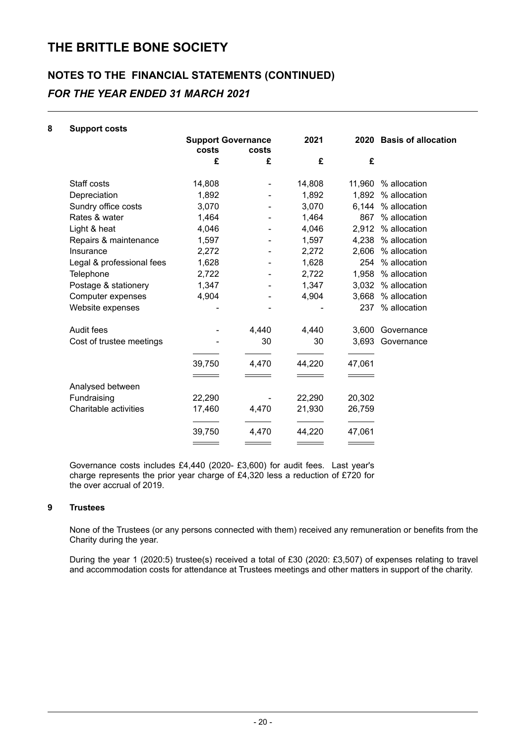## **NOTES TO THE FINANCIAL STATEMENTS (CONTINUED)** *FOR THE YEAR ENDED 31 MARCH 2021*

| 8 | <b>Support costs</b>      |        |                                    |        |        |                          |
|---|---------------------------|--------|------------------------------------|--------|--------|--------------------------|
|   |                           | costs  | <b>Support Governance</b><br>costs |        |        | 2020 Basis of allocation |
|   |                           | £      | £                                  | £      | £      |                          |
|   | Staff costs               | 14,808 |                                    | 14,808 |        | 11,960 % allocation      |
|   | Depreciation              | 1,892  |                                    | 1,892  |        | 1,892 % allocation       |
|   | Sundry office costs       | 3,070  |                                    | 3,070  |        | 6,144 % allocation       |
|   | Rates & water             | 1,464  |                                    | 1,464  | 867    | % allocation             |
|   | Light & heat              | 4,046  |                                    | 4,046  |        | 2,912 % allocation       |
|   | Repairs & maintenance     | 1,597  |                                    | 1,597  |        | 4,238 % allocation       |
|   | Insurance                 | 2,272  |                                    | 2,272  |        | 2,606 % allocation       |
|   | Legal & professional fees | 1,628  |                                    | 1,628  | 254    | % allocation             |
|   | Telephone                 | 2,722  |                                    | 2,722  |        | 1,958 % allocation       |
|   | Postage & stationery      | 1,347  |                                    | 1,347  |        | 3,032 % allocation       |
|   | Computer expenses         | 4,904  |                                    | 4,904  | 3,668  | % allocation             |
|   | Website expenses          |        |                                    |        |        | 237 % allocation         |
|   | Audit fees                |        | 4,440                              | 4,440  | 3,600  | Governance               |
|   | Cost of trustee meetings  |        | 30                                 | 30     |        | 3,693 Governance         |
|   |                           | 39,750 | 4,470                              | 44,220 | 47,061 |                          |
|   | Analysed between          |        |                                    |        |        |                          |
|   | Fundraising               | 22,290 |                                    | 22,290 | 20,302 |                          |
|   | Charitable activities     | 17,460 | 4,470                              | 21,930 | 26,759 |                          |
|   |                           | 39,750 | 4,470                              | 44,220 | 47,061 |                          |
|   |                           |        |                                    |        |        |                          |

Governance costs includes £4,440 (2020- £3,600) for audit fees. Last year's charge represents the prior year charge of £4,320 less a reduction of £720 for the over accrual of 2019.

#### **9 Trustees**

None of the Trustees (or any persons connected with them) received any remuneration or benefits from the Charity during the year.

During the year 1 (2020:5) trustee(s) received a total of £30 (2020: £3,507) of expenses relating to travel and accommodation costs for attendance at Trustees meetings and other matters in support of the charity.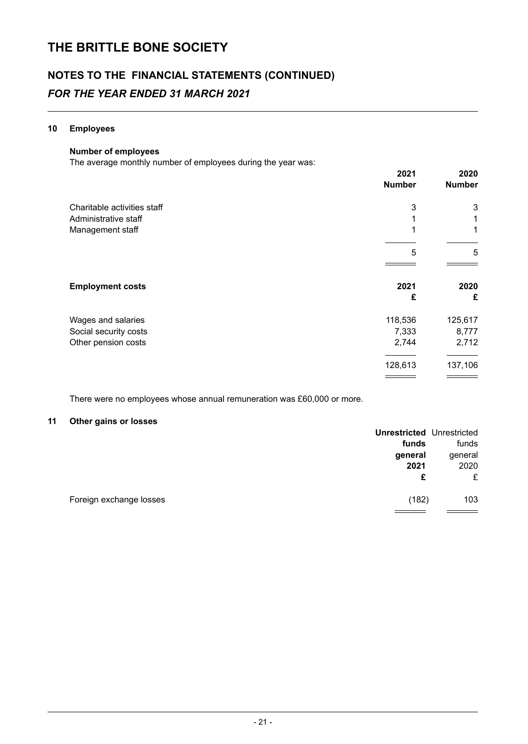## **NOTES TO THE FINANCIAL STATEMENTS (CONTINUED)** *FOR THE YEAR ENDED 31 MARCH 2021*

#### **10 Employees**

#### **Number of employees**

The average monthly number of employees during the year was:

|                             | 2021<br><b>Number</b> | 2020<br><b>Number</b> |
|-----------------------------|-----------------------|-----------------------|
| Charitable activities staff | 3                     | 3                     |
| Administrative staff        |                       | 1                     |
| Management staff            |                       | 1                     |
|                             |                       |                       |
|                             | 5                     | 5                     |
|                             |                       |                       |
| <b>Employment costs</b>     | 2021                  | 2020                  |
|                             | £                     | £                     |
| Wages and salaries          | 118,536               | 125,617               |
| Social security costs       | 7,333                 | 8,777                 |
| Other pension costs         | 2,744                 | 2,712                 |
|                             | 128,613               | 137,106               |
|                             |                       |                       |

There were no employees whose annual remuneration was £60,000 or more.

#### **11 Other gains or losses**

|                         | <b>Unrestricted Unrestricted</b> |         |
|-------------------------|----------------------------------|---------|
|                         | funds                            | funds   |
|                         | general                          | general |
|                         | 2021                             | 2020    |
|                         | £                                | £       |
| Foreign exchange losses | (182)                            | 103     |
|                         |                                  |         |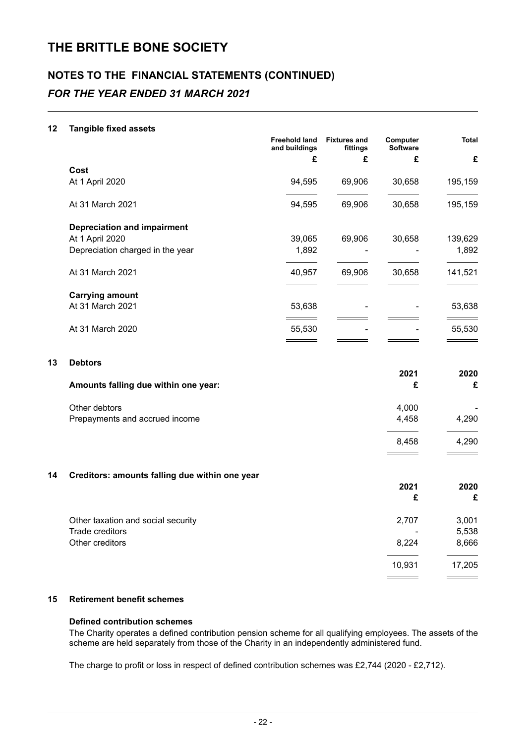### **NOTES TO THE FINANCIAL STATEMENTS (CONTINUED)** *FOR THE YEAR ENDED 31 MARCH 2021*

#### **12 Tangible fixed assets**

|                                    | <b>Freehold land</b><br>and buildings | <b>Fixtures and</b><br>fittings | Computer<br><b>Software</b> | <b>Total</b> |
|------------------------------------|---------------------------------------|---------------------------------|-----------------------------|--------------|
|                                    | £                                     | £                               | £                           | £            |
| Cost                               |                                       |                                 |                             |              |
| At 1 April 2020                    | 94,595                                | 69,906                          | 30,658                      | 195,159      |
| At 31 March 2021                   | 94,595                                | 69,906                          | 30,658                      | 195,159      |
| <b>Depreciation and impairment</b> |                                       |                                 |                             |              |
| At 1 April 2020                    | 39,065                                | 69,906                          | 30,658                      | 139,629      |
| Depreciation charged in the year   | 1,892                                 |                                 |                             | 1,892        |
| At 31 March 2021                   | 40,957                                | 69,906                          | 30,658                      | 141,521      |
| <b>Carrying amount</b>             |                                       |                                 |                             |              |
| At 31 March 2021                   | 53,638                                |                                 |                             | 53,638       |
| At 31 March 2020                   | 55,530                                |                                 |                             | 55,530       |
|                                    |                                       |                                 |                             |              |

#### **13 Debtors**

| Amounts falling due within one year: | 2021  | 2020<br>£ |
|--------------------------------------|-------|-----------|
| Other debtors                        | 4.000 | -         |
| Prepayments and accrued income       | 4.458 | 4.290     |
|                                      | 8.458 | 4.290     |

#### **14 Creditors: amounts falling due within one year**

|                                    | LVL I  | LVLV   |
|------------------------------------|--------|--------|
|                                    | £      | £      |
| Other taxation and social security | 2,707  | 3,001  |
| Trade creditors                    | ۰      | 5,538  |
| Other creditors                    | 8,224  | 8,666  |
|                                    | 10,931 | 17,205 |
|                                    |        |        |

**2021 2020**

\_\_\_\_\_\_

#### **15 Retirement benefit schemes**

#### **Defined contribution schemes**

The Charity operates a defined contribution pension scheme for all qualifying employees. The assets of the scheme are held separately from those of the Charity in an independently administered fund.

The charge to profit or loss in respect of defined contribution schemes was £2,744 (2020 - £2,712).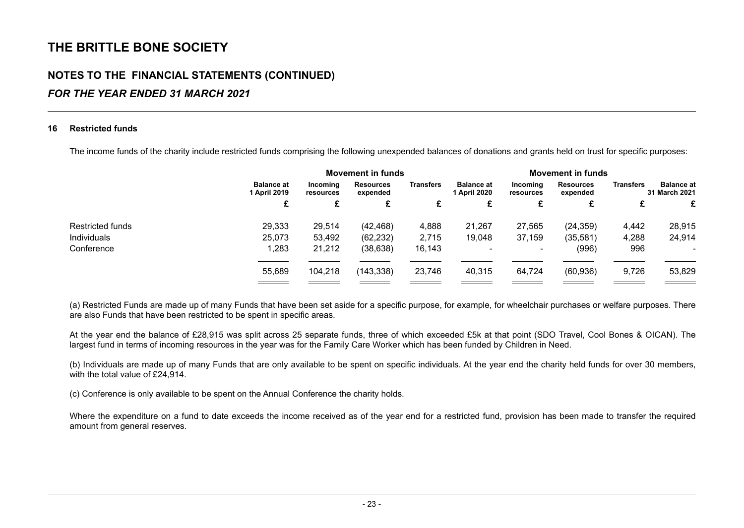### **NOTES TO THE FINANCIAL STATEMENTS (CONTINUED)**

### *FOR THE YEAR ENDED 31 MARCH 2021*

#### **16 Restricted funds**

The income funds of the charity include restricted funds comprising the following unexpended balances of donations and grants held on trust for specific purposes:

|                  |                                   |                       | <b>Movement in funds</b>     |                  |                                   |                          | <b>Movement in funds</b>     |                  |                                    |
|------------------|-----------------------------------|-----------------------|------------------------------|------------------|-----------------------------------|--------------------------|------------------------------|------------------|------------------------------------|
|                  | <b>Balance at</b><br>1 April 2019 | Incoming<br>resources | <b>Resources</b><br>expended | <b>Transfers</b> | <b>Balance at</b><br>1 April 2020 | Incoming<br>resources    | <b>Resources</b><br>expended | <b>Transfers</b> | <b>Balance at</b><br>31 March 2021 |
|                  |                                   |                       | £                            | £                | £                                 | £                        | £                            | £                | £                                  |
| Restricted funds | 29,333                            | 29,514                | (42, 468)                    | 4,888            | 21,267                            | 27,565                   | (24, 359)                    | 4,442            | 28,915                             |
| Individuals      | 25,073                            | 53,492                | (62, 232)                    | 2,715            | 19,048                            | 37,159                   | (35, 581)                    | 4,288            | 24,914                             |
| Conference       | 1,283                             | 21,212                | (38, 638)                    | 16,143           |                                   | $\overline{\phantom{a}}$ | (996)                        | 996              |                                    |
|                  | 55.689                            | 104,218               | (143, 338)                   | 23,746           | 40,315                            | 64,724                   | (60, 936)                    | 9,726            | 53,829                             |
|                  |                                   |                       |                              |                  |                                   |                          |                              |                  |                                    |

(a) Restricted Funds are made up of many Funds that have been set aside for a specific purpose, for example, for wheelchair purchases or welfare purposes. There are also Funds that have been restricted to be spent in specific areas.

At the year end the balance of £28,915 was split across 25 separate funds, three of which exceeded £5k at that point (SDO Travel, Cool Bones & OICAN). The largest fund in terms of incoming resources in the year was for the Family Care Worker which has been funded by Children in Need.

(b) Individuals are made up of many Funds that are only available to be spent on specific individuals. At the year end the charity held funds for over 30 members, with the total value of £24,914.

(c) Conference is only available to be spent on the Annual Conference the charity holds.

Where the expenditure on a fund to date exceeds the income received as of the year end for a restricted fund, provision has been made to transfer the required amount from general reserves.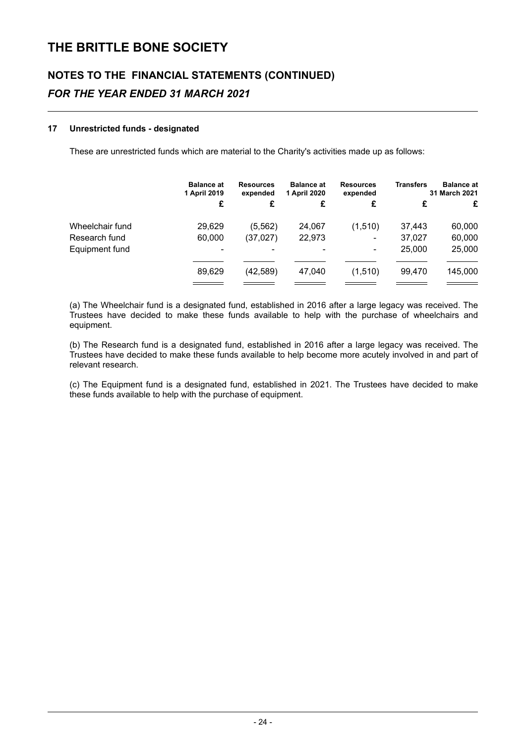## **NOTES TO THE FINANCIAL STATEMENTS (CONTINUED)** *FOR THE YEAR ENDED 31 MARCH 2021*

#### **17 Unrestricted funds - designated**

These are unrestricted funds which are material to the Charity's activities made up as follows:

| <b>Balance at</b><br>1 April 2019 | <b>Resources</b><br>expended | <b>Balance at</b><br>1 April 2020 | <b>Resources</b><br>expended | <b>Transfers</b> | <b>Balance at</b><br>31 March 2021 |
|-----------------------------------|------------------------------|-----------------------------------|------------------------------|------------------|------------------------------------|
| £                                 | £                            | £                                 | £                            |                  | £                                  |
| 29,629                            | (5, 562)                     | 24,067                            | (1,510)                      | 37,443           | 60,000                             |
| 60,000                            | (37, 027)                    | 22,973                            | ٠                            | 37,027           | 60,000                             |
|                                   |                              | ۰                                 | $\blacksquare$               | 25,000           | 25,000                             |
| 89,629                            | (42, 589)                    | 47.040                            | (1,510)                      | 99.470           | 145,000                            |
|                                   |                              |                                   |                              |                  |                                    |

(a) The Wheelchair fund is a designated fund, established in 2016 after a large legacy was received. The Trustees have decided to make these funds available to help with the purchase of wheelchairs and equipment.

(b) The Research fund is a designated fund, established in 2016 after a large legacy was received. The Trustees have decided to make these funds available to help become more acutely involved in and part of relevant research.

(c) The Equipment fund is a designated fund, established in 2021. The Trustees have decided to make these funds available to help with the purchase of equipment.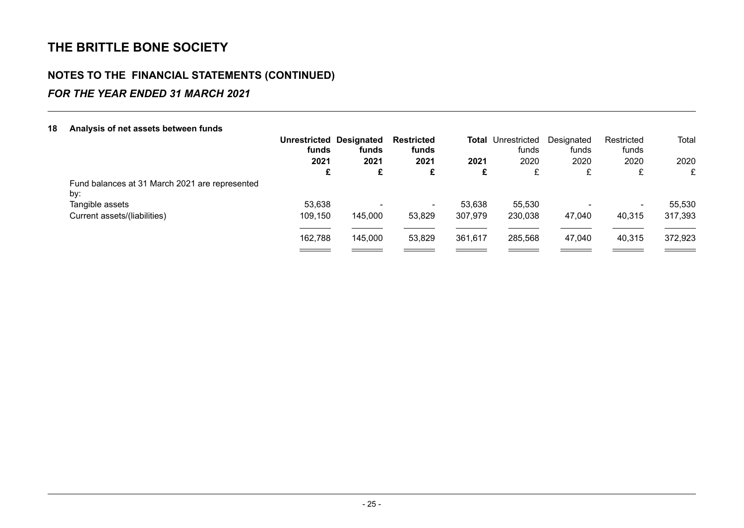### **NOTES TO THE FINANCIAL STATEMENTS (CONTINUED)**

### *FOR THE YEAR ENDED 31 MARCH 2021*

| 18 | Analysis of net assets between funds           |                                         |         |                     |         |                                    |                     |                          |         |
|----|------------------------------------------------|-----------------------------------------|---------|---------------------|---------|------------------------------------|---------------------|--------------------------|---------|
|    |                                                | <b>Unrestricted Designated</b><br>funds | funds   | Restricted<br>funds |         | <b>Total Unrestricted</b><br>funds | Designated<br>funds | Restricted<br>funds      | Total   |
|    |                                                | 2021                                    | 2021    | 2021                | 2021    | 2020                               | 2020                | 2020                     | 2020    |
|    |                                                | £                                       | £       | £                   | £       | £                                  | £                   | £                        | £       |
|    | Fund balances at 31 March 2021 are represented |                                         |         |                     |         |                                    |                     |                          |         |
|    | by:                                            |                                         |         |                     |         |                                    |                     |                          |         |
|    | Tangible assets                                | 53,638                                  |         | ۰.                  | 53.638  | 55,530                             |                     | $\overline{\phantom{a}}$ | 55,530  |
|    | Current assets/(liabilities)                   | 109,150                                 | 145,000 | 53,829              | 307,979 | 230,038                            | 47.040              | 40,315                   | 317,393 |
|    |                                                |                                         |         |                     |         |                                    |                     |                          |         |
|    |                                                | 162,788                                 | 145,000 | 53,829              | 361,617 | 285,568                            | 47,040              | 40,315                   | 372,923 |
|    |                                                |                                         |         |                     |         |                                    |                     |                          |         |